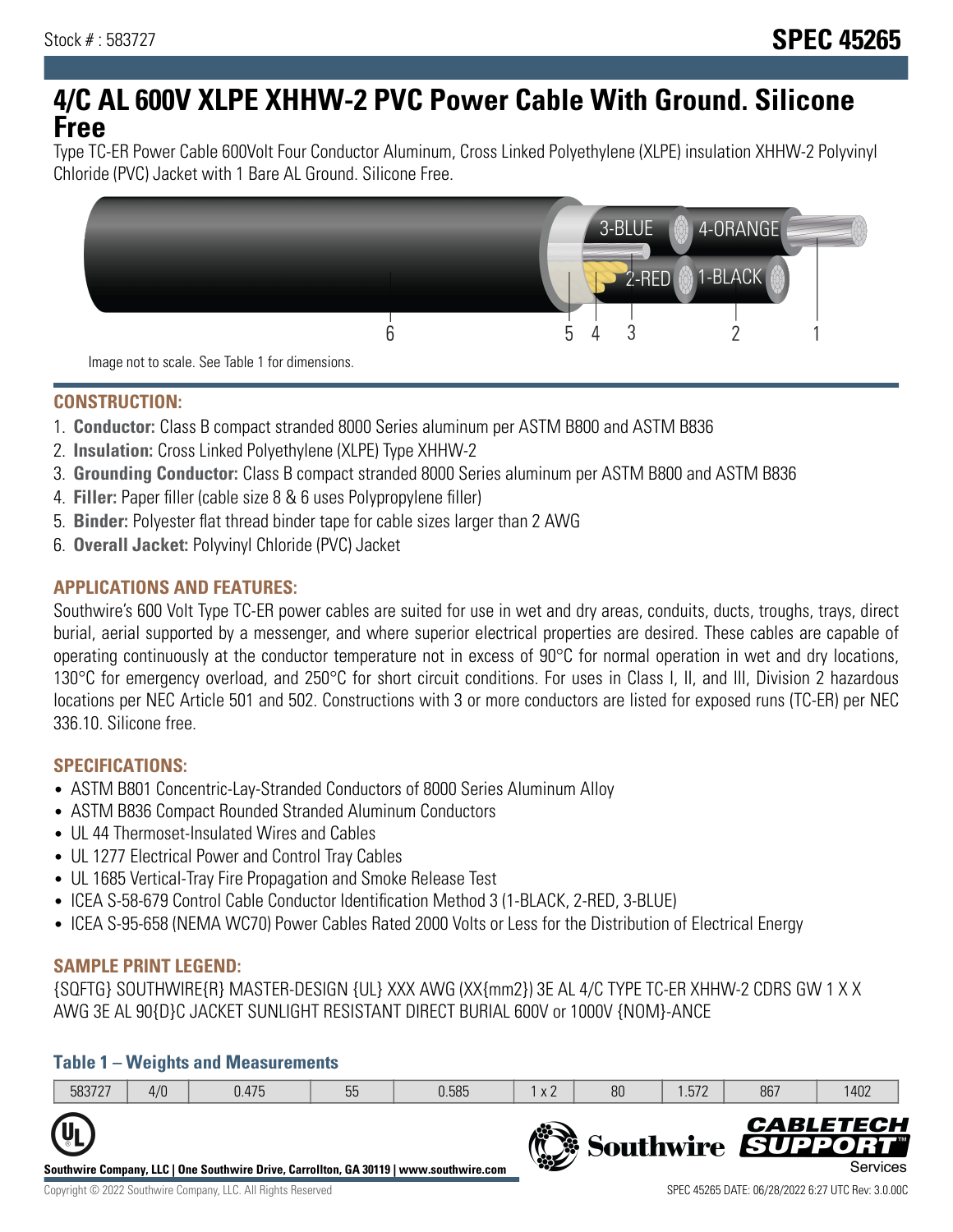# **4/C AL 600V XLPE XHHW-2 PVC Power Cable With Ground. Silicone Free**

Type TC-ER Power Cable 600Volt Four Conductor Aluminum, Cross Linked Polyethylene (XLPE) insulation XHHW-2 Polyvinyl Chloride (PVC) Jacket with 1 Bare AL Ground. Silicone Free.



**CONSTRUCTION:**

- 1. **Conductor:** Class B compact stranded 8000 Series aluminum per ASTM B800 and ASTM B836
- 2. **Insulation:** Cross Linked Polyethylene (XLPE) Type XHHW-2
- 3. **Grounding Conductor:** Class B compact stranded 8000 Series aluminum per ASTM B800 and ASTM B836
- 4. **Filler:** Paper filler (cable size 8 & 6 uses Polypropylene filler)
- 5. **Binder:** Polyester flat thread binder tape for cable sizes larger than 2 AWG
- 6. **Overall Jacket:** Polyvinyl Chloride (PVC) Jacket

## **APPLICATIONS AND FEATURES:**

Southwire's 600 Volt Type TC-ER power cables are suited for use in wet and dry areas, conduits, ducts, troughs, trays, direct burial, aerial supported by a messenger, and where superior electrical properties are desired. These cables are capable of operating continuously at the conductor temperature not in excess of 90°C for normal operation in wet and dry locations, 130°C for emergency overload, and 250°C for short circuit conditions. For uses in Class I, II, and III, Division 2 hazardous locations per NEC Article 501 and 502. Constructions with 3 or more conductors are listed for exposed runs (TC-ER) per NEC 336.10. Silicone free.

### **SPECIFICATIONS:**

- ASTM B801 Concentric-Lay-Stranded Conductors of 8000 Series Aluminum Alloy
- ASTM B836 Compact Rounded Stranded Aluminum Conductors
- UL 44 Thermoset-Insulated Wires and Cables
- UL 1277 Electrical Power and Control Tray Cables
- UL 1685 Vertical-Tray Fire Propagation and Smoke Release Test
- ICEA S-58-679 Control Cable Conductor Identification Method 3 (1-BLACK, 2-RED, 3-BLUE)
- ICEA S-95-658 (NEMA WC70) Power Cables Rated 2000 Volts or Less for the Distribution of Electrical Energy

### **SAMPLE PRINT LEGEND:**

{SQFTG} SOUTHWIRE{R} MASTER-DESIGN {UL} XXX AWG (XX{mm2}) 3E AL 4/C TYPE TC-ER XHHW-2 CDRS GW 1 X X AWG 3E AL 90{D}C JACKET SUNLIGHT RESISTANT DIRECT BURIAL 600V or 1000V {NOM}-ANCE

### **Table 1 – Weights and Measurements**

|                                                                                                                     | 583727 | 4/0 | 0.475 | 55 | 0.585 | x 2 | 80 | .572 | 867                      | 1402                         |
|---------------------------------------------------------------------------------------------------------------------|--------|-----|-------|----|-------|-----|----|------|--------------------------|------------------------------|
| $\mathbf{U}_{\mathbf{I}}$<br>Southwire Company, LLC   One Southwire Drive, Carrollton, GA 30119   www.southwire.com |        |     |       |    |       |     |    |      | <b>Southwire SUPPORT</b> | <b>CABLETECH</b><br>Services |